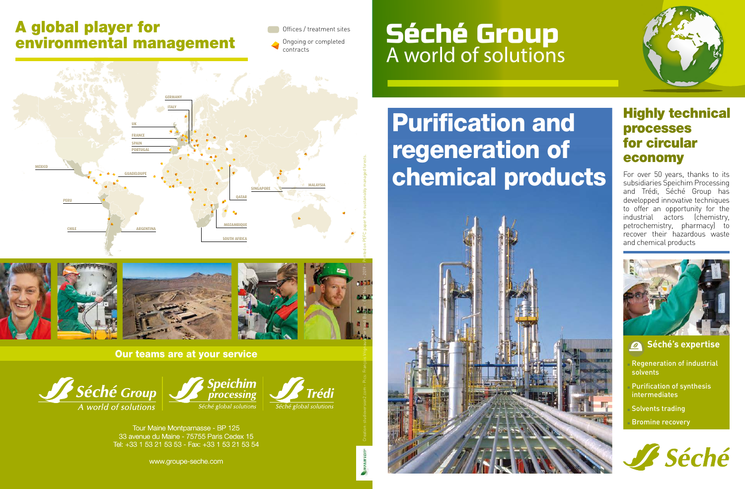#### A global player for environmental management

**CHILE ARGENTINA** 

**MEXICO**

**PERU**

Offices / treatment sites Ongoing or completed

#### **PORTUGAL SPAIN FRANCE UK GERMANY ITALY GUADELOUPE** contracts

**MALAYSIA SINGAPORE**

**QATAR**

**SOUTH AFRICA MOZAMBIQUE**



#### Our teams are at your service



Tour Maine Montparnasse - BP 125 33 avenue du Maine - 75755 Paris Cedex 15 Tel: +33 1 53 21 53 53 - Fax: +33 1 53 21 53 54

www.groupe-seche.com

### Séché Group A world of solutions





#### Highly technical processes for circular economy

For over 50 years, thanks to its subsidiaries Speichim Processing and Trédi, Séché Group has developped innovative techniques to offer an opportunity for the industrial actors (chemistry, petrochemistry, pharmacy) to recover their hazardous waste and chemical products



**Séché's expertise** 

- Regeneration of industrial solvents
- Purification of synthesis intermediates
- Solvents trading
- **Bromine recovery**